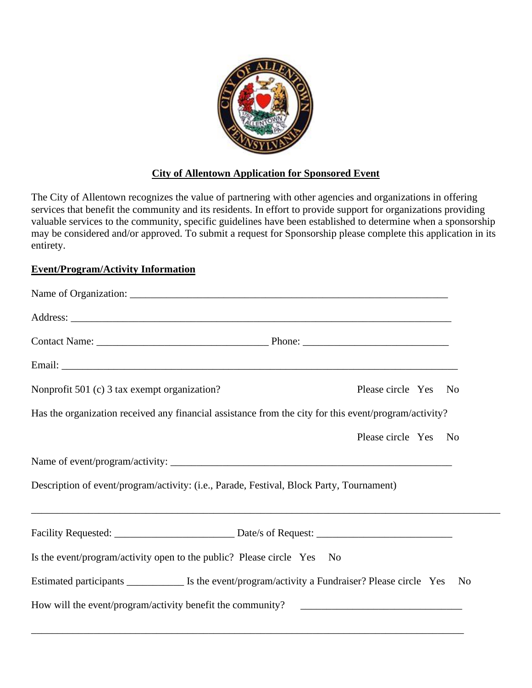

## **City of Allentown Application for Sponsored Event**

The City of Allentown recognizes the value of partnering with other agencies and organizations in offering services that benefit the community and its residents. In effort to provide support for organizations providing valuable services to the community, specific guidelines have been established to determine when a sponsorship may be considered and/or approved. To submit a request for Sponsorship please complete this application in its entirety.

## **Event/Program/Activity Information**

| Nonprofit 501 (c) 3 tax exempt organization?                                                          | Please circle Yes No |
|-------------------------------------------------------------------------------------------------------|----------------------|
| Has the organization received any financial assistance from the city for this event/program/activity? |                      |
|                                                                                                       | Please circle Yes No |
|                                                                                                       |                      |
| Description of event/program/activity: (i.e., Parade, Festival, Block Party, Tournament)              |                      |
| ,我们也不能在这里的时候,我们也不能在这里的时候,我们也不能不能不能不能不能不能不能不能不能不能不能不能不能不能不能。""我们的是我们的,我们也不能不能不能不能                      |                      |
|                                                                                                       |                      |
| Is the event/program/activity open to the public? Please circle Yes No                                |                      |
|                                                                                                       | N <sub>0</sub>       |
| How will the event/program/activity benefit the community?                                            |                      |
|                                                                                                       |                      |

\_\_\_\_\_\_\_\_\_\_\_\_\_\_\_\_\_\_\_\_\_\_\_\_\_\_\_\_\_\_\_\_\_\_\_\_\_\_\_\_\_\_\_\_\_\_\_\_\_\_\_\_\_\_\_\_\_\_\_\_\_\_\_\_\_\_\_\_\_\_\_\_\_\_\_\_\_\_\_\_\_\_\_